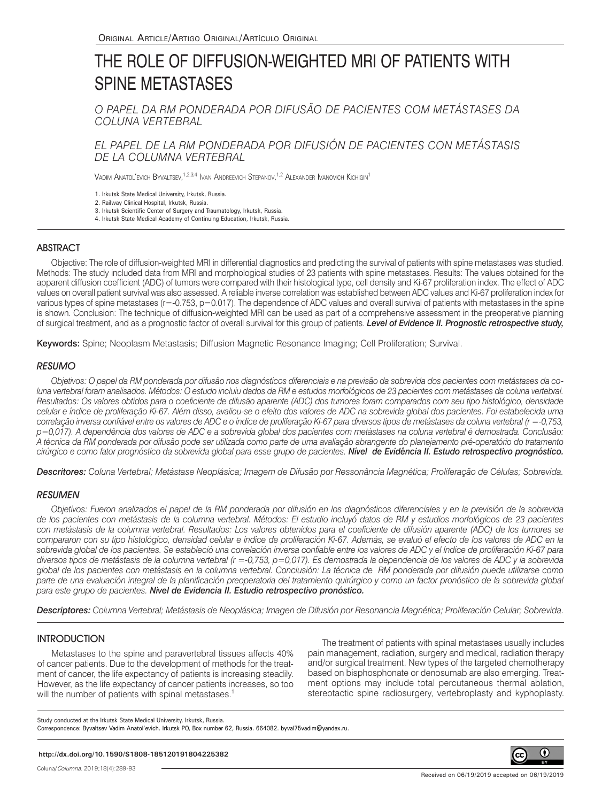# THE ROLE OF DIFFUSION-WEIGHTED MRI OF PATIENTS WITH SPINE METASTASES

*O PAPEL DA RM PONDERADA POR DIFUSÃO DE PACIENTES COM METÁSTASES DA COLUNA VERTEBRAL*

*EL PAPEL DE LA RM PONDERADA POR DIFUSIÓN DE PACIENTES CON METÁSTASIS DE LA COLUMNA VERTEBRAL*

Vadim Anatol'evich Byvaltsev,<sup>1,2,3,4</sup> Ivan Andreevich Stepanov,<sup>1,2</sup> Alexander Ivanovich Kichigin<sup>1</sup>

1. Irkutsk State Medical University, Irkutsk, Russia.

2. Railway Clinical Hospital, Irkutsk, Russia.

3. Irkutsk Scientific Center of Surgery and Traumatology, Irkutsk, Russia.

4. Irkutsk State Medical Academy of Continuing Education, Irkutsk, Russia.

# ABSTRACT

Objective: The role of diffusion-weighted MRI in differential diagnostics and predicting the survival of patients with spine metastases was studied. Methods: The study included data from MRI and morphological studies of 23 patients with spine metastases. Results: The values obtained for the apparent diffusion coefficient (ADC) of tumors were compared with their histological type, cell density and Ki-67 proliferation index. The effect of ADC values on overall patient survival was also assessed. A reliable inverse correlation was established between ADC values and Ki-67 proliferation index for various types of spine metastases (r=-0.753, p=0.017). The dependence of ADC values and overall survival of patients with metastases in the spine is shown. Conclusion: The technique of diffusion-weighted MRI can be used as part of a comprehensive assessment in the preoperative planning of surgical treatment, and as a prognostic factor of overall survival for this group of patients. *Level of Evidence II. Prognostic retrospective study,* 

Keywords: Spine; Neoplasm Metastasis; Diffusion Magnetic Resonance Imaging; Cell Proliferation; Survival.

### RESUMO

*Objetivos: O papel da RM ponderada por difusão nos diagnósticos diferenciais e na previsão da sobrevida dos pacientes com metástases da coluna vertebral foram analisados. Métodos: O estudo incluiu dados da RM e estudos morfológicos de 23 pacientes com metástases da coluna vertebral. Resultados: Os valores obtidos para o coeficiente de difusão aparente (ADC) dos tumores foram comparados com seu tipo histológico, densidade celular e índice de proliferação Ki-67. Além disso, avaliou-se o efeito dos valores de ADC na sobrevida global dos pacientes. Foi estabelecida uma correlação inversa confiável entre os valores de ADC e o índice de proliferação Ki-67 para diversos tipos de metástases da coluna vertebral (r =-0,753, p=0,017). A dependência dos valores de ADC e a sobrevida global dos pacientes com metástases na coluna vertebral é demostrada. Conclusão: A técnica da RM ponderada por difusão pode ser utilizada como parte de uma avaliação abrangente do planejamento pré-operatório do tratamento cirúrgico e como fator prognóstico da sobrevida global para esse grupo de pacientes. Nível de Evidência II. Estudo retrospectivo prognóstico.* 

*Descritores: Coluna Vertebral; Metástase Neoplásica; Imagem de Difusão por Ressonância Magnética; Proliferação de Células; Sobrevida.*

#### **RESUMEN**

*Objetivos: Fueron analizados el papel de la RM ponderada por difusión en los diagnósticos diferenciales y en la previsión de la sobrevida de los pacientes con metástasis de la columna vertebral. Métodos: El estudio incluyó datos de RM y estudios morfológicos de 23 pacientes con metástasis de la columna vertebral. Resultados: Los valores obtenidos para el coeficiente de difusión aparente (ADC) de los tumores se compararon con su tipo histológico, densidad celular e índice de proliferación Ki-67. Además, se evaluó el efecto de los valores de ADC en la sobrevida global de los pacientes. Se estableció una correlación inversa confiable entre los valores de ADC y el índice de proliferación Ki-67 para diversos tipos de metástasis de la columna vertebral (r =-0,753, p=0,017). Es demostrada la dependencia de los valores de ADC y la sobrevida global de los pacientes con metástasis en la columna vertebral. Conclusión: La técnica de RM ponderada por difusión puede utilizarse como parte de una evaluación integral de la planificación preoperatoria del tratamiento quirúrgico y como un factor pronóstico de la sobrevida global para este grupo de pacientes. Nivel de Evidencia II. Estudio retrospectivo pronóstico.* 

*Descriptores: Columna Vertebral; Metástasis de Neoplásica; Imagen de Difusión por Resonancia Magnética; Proliferación Celular; Sobrevida.*

#### **INTRODUCTION**

Metastases to the spine and paravertebral tissues affects 40% of cancer patients. Due to the development of methods for the treatment of cancer, the life expectancy of patients is increasing steadily. However, as the life expectancy of cancer patients increases, so too will the number of patients with spinal metastases.<sup>1</sup>

The treatment of patients with spinal metastases usually includes pain management, radiation, surgery and medical, radiation therapy and/or surgical treatment. New types of the targeted chemotherapy based on bisphosphonate or denosumab are also emerging. Treatment options may include total percutaneous thermal ablation, stereotactic spine radiosurgery, vertebroplasty and kyphoplasty.

Study conducted at the Irkutsk State Medical University, Irkutsk, Russia.

Correspondence: Byvaltsev Vadim Anatol'evich. Irkutsk PO, Box number 62, Russia. 664082. byval75vadim@yandex.ru.

#### **http://dx.doi.org/10.1590/S1808-185120191804225382**

Coluna/*Columna*. 2019;18(4):289-93

 $_{\odot}$ 

(cc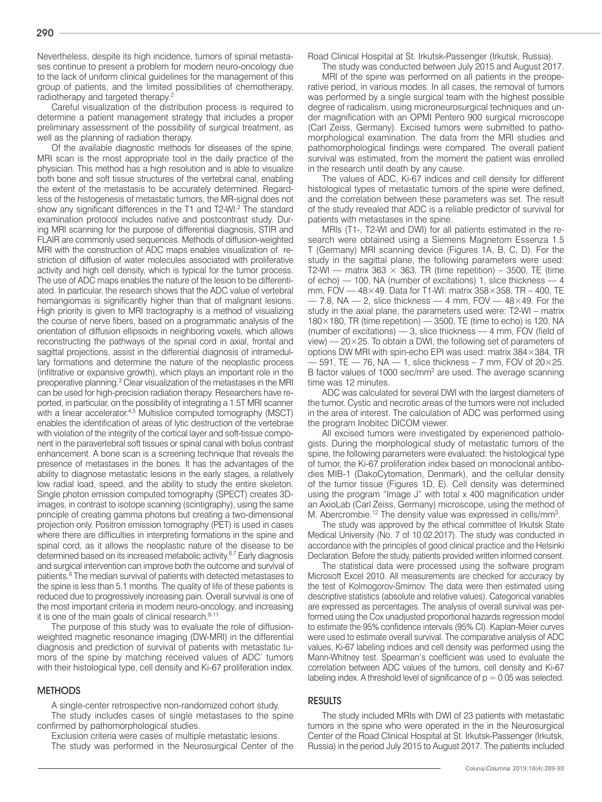Nevertheless, despite its high incidence, tumors of spinal metastases continue to present a problem for modern neuro-oncology due to the lack of uniform clinical guidelines for the management of this group of patients, and the limited possibilities of chemotherapy, radiotherapy and targeted therapy.<sup>2</sup>

Careful visualization of the distribution process is required to determine a patient management strategy that includes a proper preliminary assessment of the possibility of surgical treatment, as well as the planning of radiation therapy.

Of the available diagnostic methods for diseases of the spine, MRI scan is the most appropriate tool in the daily practice of the physician. This method has a high resolution and is able to visualize both bone and soft tissue structures of the vertebral canal, enabling the extent of the metastasis to be accurately determined. Regardless of the histogenesis of metastatic tumors, the MR-signal does not show any significant differences in the T1 and T2-WI.<sup>2</sup> The standard examination protocol includes native and postcontrast study. During MRI scanning for the purpose of differential diagnosis, STIR and FLAIR are commonly used sequences. Methods of diffusion-weighted MRI with the construction of ADC maps enables visualization of restriction of diffusion of water molecules associated with proliferative activity and high cell density, which is typical for the tumor process. The use of ADC maps enables the nature of the lesion to be differentiated. In particular, the research shows that the ADC value of vertebral hemangiomas is significantly higher than that of malignant lesions. High priority is given to MRI tractography is a method of visualizing the course of nerve fibers, based on a programmatic analysis of the orientation of diffusion ellipsoids in neighboring voxels, which allows reconstructing the pathways of the spinal cord in axial, frontal and sagittal projections, assist in the differential diagnosis of intramedullary formations and determine the nature of the neoplastic process (infiltrative or expansive growth), which plays an important role in the preoperative planning.<sup>3</sup> Clear visualization of the metastases in the MRI can be used for high-precision radiation therapy. Researchers have reported, in particular, on the possibility of integrating a 1.5T MRI scanner with a linear accelerator.<sup>4,5</sup> Multislice computed tomography (MSCT) enables the identification of areas of lytic destruction of the vertebrae with violation of the integrity of the cortical layer and soft-tissue component in the paravertebral soft tissues or spinal canal with bolus contrast enhancement. A bone scan is a screening technique that reveals the presence of metastases in the bones. It has the advantages of the ability to diagnose metastatic lesions in the early stages, a relatively low radial load, speed, and the ability to study the entire skeleton. Single photon emission computed tomography (SPECT) creates 3Dimages, in contrast to isotope scanning (scintigraphy), using the same principle of creating gamma photons but creating a two-dimensional projection only. Positron emission tomography (PET) is used in cases where there are difficulties in interpreting formations in the spine and spinal cord, as it allows the neoplastic nature of the disease to be determined based on its increased metabolic activity.<sup>6,7</sup> Early diagnosis and surgical intervention can improve both the outcome and survival of patients.<sup>8</sup> The median survival of patients with detected metastases to the spine is less than 5.1 months. The quality of life of these patients is reduced due to progressively increasing pain. Overall survival is one of the most important criteria in modern neuro-oncology, and increasing it is one of the main goals of clinical research.<sup>8-11</sup>

The purpose of this study was to evaluate the role of diffusionweighted magnetic resonance imaging (DW-MRI) in the differential diagnosis and prediction of survival of patients with metastatic tumors of the spine by matching received values of ADC' tumors with their histological type, cell density and Ki-67 proliferation index.

#### **METHODS**

A single-center retrospective non-randomized cohort study. The study includes cases of single metastases to the spine confirmed by pathomorphological studies.

Exclusion criteria were cases of multiple metastatic lesions. The study was performed in the Neurosurgical Center of the Road Clinical Hospital at St. Irkutsk-Passenger (Irkutsk, Russia).

The study was conducted between July 2015 and August 2017.

MRI of the spine was performed on all patients in the preoperative period, in various modes. In all cases, the removal of tumors was performed by a single surgical team with the highest possible degree of radicalism, using microneurosurgical techniques and under magnification with an OPMI Pentero 900 surgical microscope (Carl Zeiss, Germany). Excised tumors were submitted to pathomorphological examination. The data from the MRI studies and pathomorphological findings were compared. The overall patient survival was estimated, from the moment the patient was enrolled in the research until death by any cause.

The values of ADC, Ki-67 indices and cell density for different histological types of metastatic tumors of the spine were defined, and the correlation between these parameters was set. The result of the study revealed that ADC is a reliable predictor of survival for patients with metastases in the spine.

MRIs (T1-, T2-WI and DWI) for all patients estimated in the research were obtained using a Siemens Magnetom Essenza 1.5 T (Germany) MRI scanning device (Figures 1A, B, C, D). For the study in the sagittal plane, the following parameters were used: T2-WI –– matrix 363  $\times$  363, TR (time repetition) – 3500, TE (time of echo) –– 100, NA (number of excitations) 1, slice thickness –– 4 mm, FOV  $-48\times49$ . Data for T1-WI: matrix 358 $\times$ 358, TR - 400, TE  $-$  7.8, NA  $-$  2, slice thickness  $-$  4 mm, FOV  $-$  48 $\times$ 49. For the study in the axial plane, the parameters used were: T2-WI – matrix  $180\times180$ , TR (time repetition) – 3500, TE (time to echo) is 120, NA (number of excitations)  $-3$ , slice thickness  $-4$  mm, FOV (field of  $view$ ) –– 20 $\times$ 25. To obtain a DWI, the following set of parameters of options DW MRI with spin-echo EPI was used: matrix 384×384, TR  $-591$ , TE  $-76$ , NA  $-1$ , slice thickness  $-7$  mm, FOV of 20 $\times$ 25. B factor values of 1000 sec/mm<sup>2</sup> are used. The average scanning time was 12 minutes.

ADC was calculated for several DWI with the largest diameters of the tumor. Cystic and necrotic areas of the tumors were not included in the area of interest. The calculation of ADC was performed using the program Inobitec DICOM viewer.

All excised tumors were investigated by experienced pathologists. During the morphological study of metastatic tumors of the spine, the following parameters were evaluated: the histological type of tumor, the Ki-67 proliferation index based on monoclonal antibodies MIB-1 (DakoCytomation, Denmark), and the cellular density of the tumor tissue (Figures 1D, E). Cell density was determined using the program "Image J" with total x 400 magnification under an AxioLab (Carl Zeiss, Germany) microscope, using the method of M. Abercrombie.<sup>12</sup> The density value was expressed in cells/mm<sup>3</sup>.

The study was approved by the ethical committee of Irkutsk State Medical University (No. 7 of 10.02.2017). The study was conducted in accordance with the principles of good clinical practice and the Helsinki Declaration. Before the study, patients provided written informed consent.

The statistical data were processed using the software program Microsoft Excel 2010. All measurements are checked for accuracy by the test of Kolmogorov-Smirnov. The data were then estimated using descriptive statistics (absolute and relative values). Categorical variables are expressed as percentages. The analysis of overall survival was performed using the Cox unadjusted proportional hazards regression model to estimate the 95% confidence intervals (95% CI). Kaplan-Meier curves were used to estimate overall survival. The comparative analysis of ADC values, Ki-67 labeling indices and cell density was performed using the Mann-Whitney test. Spearman's coefficient was used to evaluate the correlation between ADC values of the tumors, cell density and Ki-67 labeling index. A threshold level of significance of  $p = 0.05$  was selected.

#### RESULTS

The study included MRIs with DWI of 23 patients with metastatic tumors in the spine who were operated in the in the Neurosurgical Center of the Road Clinical Hospital at St. Irkutsk-Passenger (Irkutsk, Russia) in the period July 2015 to August 2017. The patients included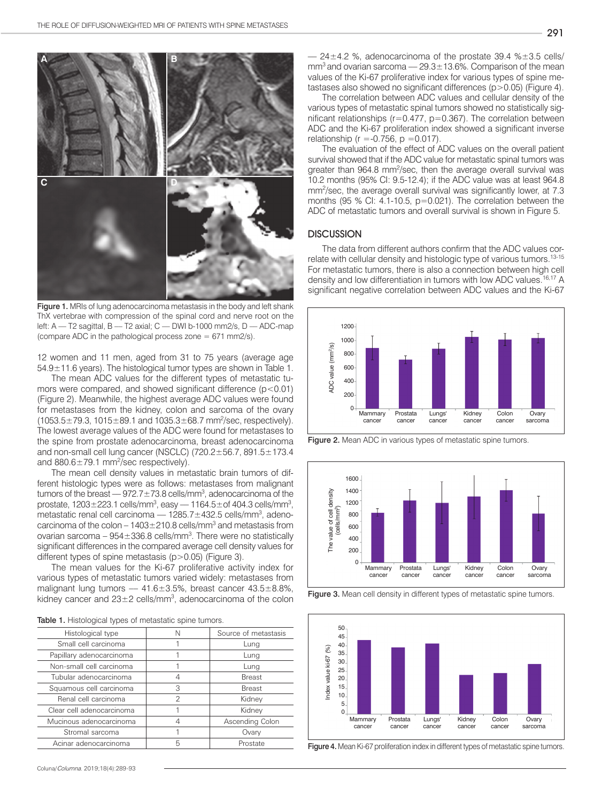

Figure 1. MRIs of lung adenocarcinoma metastasis in the body and left shank ThX vertebrae with compression of the spinal cord and nerve root on the left: A –– T2 sagittal, B –– T2 axial; C –– DWI b-1000 mm2/s, D –– ADC-map (compare ADC in the pathological process zone = 671 mm2/s).

12 women and 11 men, aged from 31 to 75 years (average age 54.9±11.6 years). The histological tumor types are shown in Table 1.

The mean ADC values for the different types of metastatic tumors were compared, and showed significant difference (p<0.01) (Figure 2). Meanwhile, the highest average ADC values were found for metastases from the kidney, colon and sarcoma of the ovary  $(1053.5 \pm 79.3, 1015 \pm 89.1, and 1035.3 \pm 68.7,$  mm<sup>2</sup>/sec, respectively). The lowest average values of the ADC were found for metastases to the spine from prostate adenocarcinoma, breast adenocarcinoma and non-small cell lung cancer (NSCLC) (720.2±56.7, 891.5±173.4 and  $880.6 \pm 79.1$  mm<sup>2</sup>/sec respectively).

The mean cell density values in metastatic brain tumors of different histologic types were as follows: metastases from malignant tumors of the breast — 972.7 $\pm$ 73.8 cells/mm $^3$ , adenocarcinoma of the prostate, 1203 $\pm$ 223.1 cells/mm<sup>3</sup>, easy — 1164.5 $\pm$ of 404.3 cells/mm<sup>3</sup>, metastatic renal cell carcinoma — 1285.7±432.5 cells/mm<sup>3</sup>, adenocarcinoma of the colon  $-1403 \pm 210.8$  cells/mm<sup>3</sup> and metastasis from ovarian sarcoma –  $954 \pm 336.8$  cells/mm<sup>3</sup>. There were no statistically significant differences in the compared average cell density values for different types of spine metastasis (p>0.05) (Figure 3).

The mean values for the Ki-67 proliferative activity index for various types of metastatic tumors varied widely: metastases from malignant lung tumors  $-41.6 \pm 3.5$ %, breast cancer  $43.5 \pm 8.8$ %, kidney cancer and  $23\pm2$  cells/mm<sup>3</sup>, adenocarcinoma of the colon

| <b>Table 1.</b> Histological types of metastatic spine tumors. |  |
|----------------------------------------------------------------|--|
|----------------------------------------------------------------|--|

| Histological type         |   | Source of metastasis |
|---------------------------|---|----------------------|
| Small cell carcinoma      |   | Lung                 |
| Papillary adenocarcinoma  |   | Lung                 |
| Non-small cell carcinoma  |   | Lung                 |
| Tubular adenocarcinoma    | 4 | <b>Breast</b>        |
| Squamous cell carcinoma   | 3 | <b>Breast</b>        |
| Renal cell carcinoma      | 2 | Kidney               |
| Clear cell adenocarcinoma |   | Kidney               |
| Mucinous adenocarcinoma   | ⊿ | Ascending Colon      |
| Stromal sarcoma           |   | Ovary                |
| Acinar adenocarcinoma     | 5 | Prostate             |
|                           |   |                      |

 $-$  24 $\pm$ 4.2 %, adenocarcinoma of the prostate 39.4 % $\pm$ 3.5 cells/  $\text{mm}^3$  and ovarian sarcoma –– 29.3 $\pm$ 13.6%. Comparison of the mean values of the Ki-67 proliferative index for various types of spine metastases also showed no significant differences (p>0.05) (Figure 4).

The correlation between ADC values and cellular density of the various types of metastatic spinal tumors showed no statistically significant relationships (r=0.477, p=0.367). The correlation between ADC and the Ki-67 proliferation index showed a significant inverse relationship ( $r = -0.756$ ,  $p = 0.017$ ).

The evaluation of the effect of ADC values on the overall patient survival showed that if the ADC value for metastatic spinal tumors was greater than 964.8 mm<sup>2</sup>/sec, then the average overall survival was 10.2 months (95% CI: 9.5-12.4); if the ADC value was at least 964.8 mm<sup>2</sup>/sec, the average overall survival was significantly lower, at 7.3 months (95 % CI: 4.1-10.5, p=0.021). The correlation between the ADC of metastatic tumors and overall survival is shown in Figure 5.

### **DISCUSSION**

The data from different authors confirm that the ADC values correlate with cellular density and histologic type of various tumors.<sup>13-15</sup> For metastatic tumors, there is also a connection between high cell density and low differentiation in tumors with low ADC values.<sup>16,17</sup> A significant negative correlation between ADC values and the Ki-67



Figure 2. Mean ADC in various types of metastatic spine tumors.



Figure 3. Mean cell density in different types of metastatic spine tumors.



Figure 4. Mean Ki-67 proliferation index in different types of metastatic spine tumors.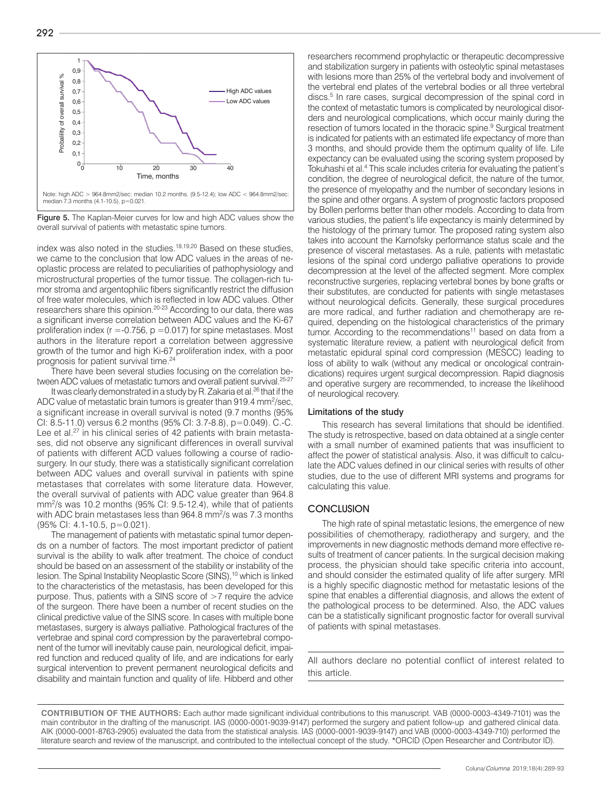

Figure 5. The Kaplan-Meier curves for low and high ADC values show the overall survival of patients with metastatic spine tumors.

index was also noted in the studies.<sup>18,19,20</sup> Based on these studies, we came to the conclusion that low ADC values in the areas of neoplastic process are related to peculiarities of pathophysiology and microstructural properties of the tumor tissue. The collagen-rich tumor stroma and argentophilic fibers significantly restrict the diffusion of free water molecules, which is reflected in low ADC values. Other researchers share this opinion.20-23 According to our data, there was a significant inverse correlation between ADC values and the Ki-67 proliferation index ( $r = -0.756$ ,  $p = 0.017$ ) for spine metastases. Most authors in the literature report a correlation between aggressive growth of the tumor and high Ki-67 proliferation index, with a poor prognosis for patient survival time.<sup>24</sup>

There have been several studies focusing on the correlation between ADC values of metastatic tumors and overall patient survival.<sup>25-27</sup>

It was clearly demonstrated in a study by R. Zakaria et al.<sup>26</sup> that if the ADC value of metastatic brain tumors is greater than 919.4 mm<sup>2</sup>/sec, a significant increase in overall survival is noted (9.7 months (95% CI: 8.5-11.0) versus 6.2 months (95% CI: 3.7-8.8), p=0.049). C.-C. Lee et al.<sup>27</sup> in his clinical series of 42 patients with brain metastases, did not observe any significant differences in overall survival of patients with different ACD values following a course of radiosurgery. In our study, there was a statistically significant correlation between ADC values and overall survival in patients with spine metastases that correlates with some literature data. However, the overall survival of patients with ADC value greater than 964.8 mm2 /s was 10.2 months (95% CI: 9.5-12.4), while that of patients with ADC brain metastases less than 964.8 mm<sup>2</sup>/s was 7.3 months (95% CI: 4.1-10.5, p=0.021).

The management of patients with metastatic spinal tumor depends on a number of factors. The most important predictor of patient survival is the ability to walk after treatment. The choice of conduct should be based on an assessment of the stability or instability of the lesion. The Spinal Instability Neoplastic Score (SINS),<sup>10</sup> which is linked to the characteristics of the metastasis, has been developed for this purpose. Thus, patients with a SINS score of >7 require the advice of the surgeon. There have been a number of recent studies on the clinical predictive value of the SINS score. In cases with multiple bone metastases, surgery is always palliative. Pathological fractures of the vertebrae and spinal cord compression by the paravertebral component of the tumor will inevitably cause pain, neurological deficit, impaired function and reduced quality of life, and are indications for early surgical intervention to prevent permanent neurological deficits and disability and maintain function and quality of life. Hibberd and other researchers recommend prophylactic or therapeutic decompressive and stabilization surgery in patients with osteolytic spinal metastases with lesions more than 25% of the vertebral body and involvement of the vertebral end plates of the vertebral bodies or all three vertebral discs.5 In rare cases, surgical decompression of the spinal cord in the context of metastatic tumors is complicated by neurological disorders and neurological complications, which occur mainly during the resection of tumors located in the thoracic spine.<sup>9</sup> Surgical treatment is indicated for patients with an estimated life expectancy of more than 3 months, and should provide them the optimum quality of life. Life expectancy can be evaluated using the scoring system proposed by Tokuhashi et al.<sup>4</sup> This scale includes criteria for evaluating the patient's condition, the degree of neurological deficit, the nature of the tumor, the presence of myelopathy and the number of secondary lesions in the spine and other organs. A system of prognostic factors proposed by Bollen performs better than other models. According to data from various studies, the patient's life expectancy is mainly determined by the histology of the primary tumor. The proposed rating system also takes into account the Karnofsky performance status scale and the presence of visceral metastases. As a rule, patients with metastatic lesions of the spinal cord undergo palliative operations to provide decompression at the level of the affected segment. More complex reconstructive surgeries, replacing vertebral bones by bone grafts or their substitutes, are conducted for patients with single metastases without neurological deficits. Generally, these surgical procedures are more radical, and further radiation and chemotherapy are required, depending on the histological characteristics of the primary tumor. According to the recommendations<sup>11</sup> based on data from a systematic literature review, a patient with neurological deficit from metastatic epidural spinal cord compression (MESCC) leading to loss of ability to walk (without any medical or oncological contraindications) requires urgent surgical decompression. Rapid diagnosis and operative surgery are recommended, to increase the likelihood of neurological recovery.

#### Limitations of the study

This research has several limitations that should be identified. The study is retrospective, based on data obtained at a single center with a small number of examined patients that was insufficient to affect the power of statistical analysis. Also, it was difficult to calculate the ADC values defined in our clinical series with results of other studies, due to the use of different MRI systems and programs for calculating this value.

## **CONCLUSION**

The high rate of spinal metastatic lesions, the emergence of new possibilities of chemotherapy, radiotherapy and surgery, and the improvements in new diagnostic methods demand more effective results of treatment of cancer patients. In the surgical decision making process, the physician should take specific criteria into account, and should consider the estimated quality of life after surgery. MRI is a highly specific diagnostic method for metastatic lesions of the spine that enables a differential diagnosis, and allows the extent of the pathological process to be determined. Also, the ADC values can be a statistically significant prognostic factor for overall survival of patients with spinal metastases.

All authors declare no potential conflict of interest related to this article.

**CONTRIBUTION OF THE AUTHORS:** Each author made significant individual contributions to this manuscript. VAB (0000-0003-4349-7101) was the main contributor in the drafting of the manuscript. IAS (0000-0001-9039-9147) performed the surgery and patient follow-up and gathered clinical data. AIK (0000-0001-8763-2905) evaluated the data from the statistical analysis. IAS (0000-0001-9039-9147) and VAB (0000-0003-4349-710) performed the literature search and review of the manuscript, and contributed to the intellectual concept of the study. \*ORCID (Open Researcher and Contributor ID).